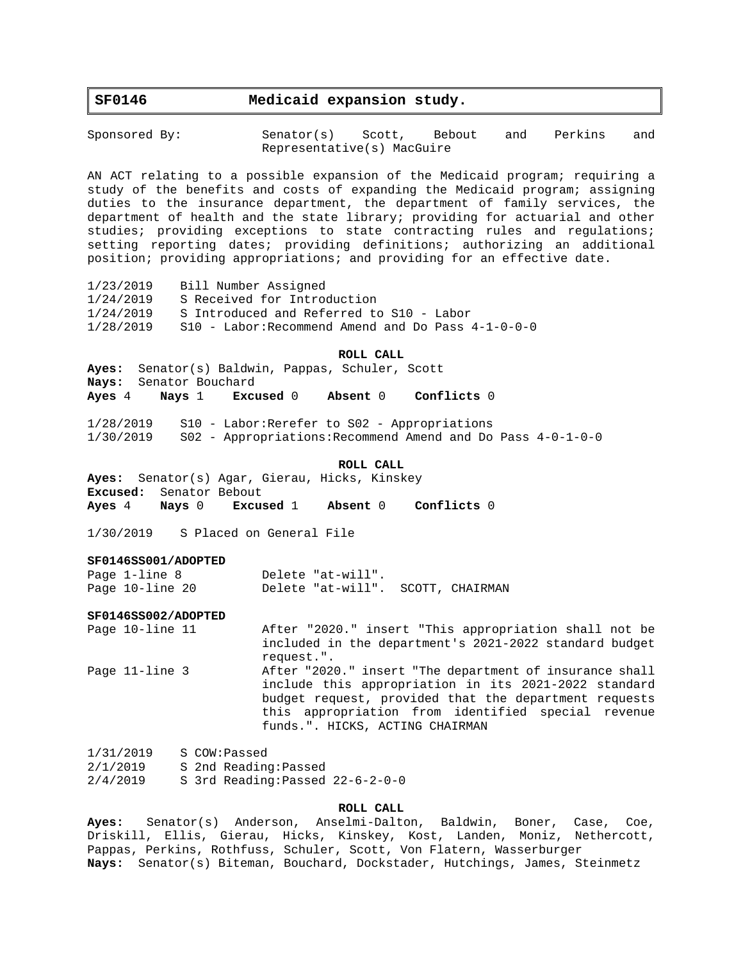# **SF0146 Medicaid expansion study.**

Sponsored By: Senator(s) Scott, Bebout and Perkins and Representative(s) MacGuire

AN ACT relating to a possible expansion of the Medicaid program; requiring a study of the benefits and costs of expanding the Medicaid program; assigning duties to the insurance department, the department of family services, the department of health and the state library; providing for actuarial and other studies; providing exceptions to state contracting rules and regulations; setting reporting dates; providing definitions; authorizing an additional position; providing appropriations; and providing for an effective date.

1/23/2019 Bill Number Assigned 1/24/2019 S Received for Introduction 1/24/2019 S Introduced and Referred to S10 - Labor 1/28/2019 S10 - Labor:Recommend Amend and Do Pass 4-1-0-0-0

#### **ROLL CALL**

**Ayes:** Senator(s) Baldwin, Pappas, Schuler, Scott **Nays:** Senator Bouchard **Ayes** 4 **Nays** 1 **Excused** 0 **Absent** 0 **Conflicts** 0

1/28/2019 S10 - Labor:Rerefer to S02 - Appropriations 1/30/2019 S02 - Appropriations:Recommend Amend and Do Pass 4-0-1-0-0

### **ROLL CALL**

**Ayes:** Senator(s) Agar, Gierau, Hicks, Kinskey **Excused:** Senator Bebout **Ayes** 4 **Nays** 0 **Excused** 1 **Absent** 0 **Conflicts** 0

1/30/2019 S Placed on General File

#### **SF0146SS001/ADOPTED**

Page 1-line 8 Delete "at-will". Page 10-line 20 Delete "at-will". SCOTT, CHAIRMAN

#### **SF0146SS002/ADOPTED**

Page 10-line 11 After "2020." insert "This appropriation shall not be included in the department's 2021-2022 standard budget request.". Page 11-line 3 After "2020." insert "The department of insurance shall include this appropriation in its 2021-2022 standard budget request, provided that the department requests this appropriation from identified special revenue funds.". HICKS, ACTING CHAIRMAN

1/31/2019 S COW:Passed 2/1/2019 S 2nd Reading:Passed 2/4/2019 S 3rd Reading:Passed 22-6-2-0-0

## **ROLL CALL**

**Ayes:** Senator(s) Anderson, Anselmi-Dalton, Baldwin, Boner, Case, Coe, Driskill, Ellis, Gierau, Hicks, Kinskey, Kost, Landen, Moniz, Nethercott, Pappas, Perkins, Rothfuss, Schuler, Scott, Von Flatern, Wasserburger **Nays:** Senator(s) Biteman, Bouchard, Dockstader, Hutchings, James, Steinmetz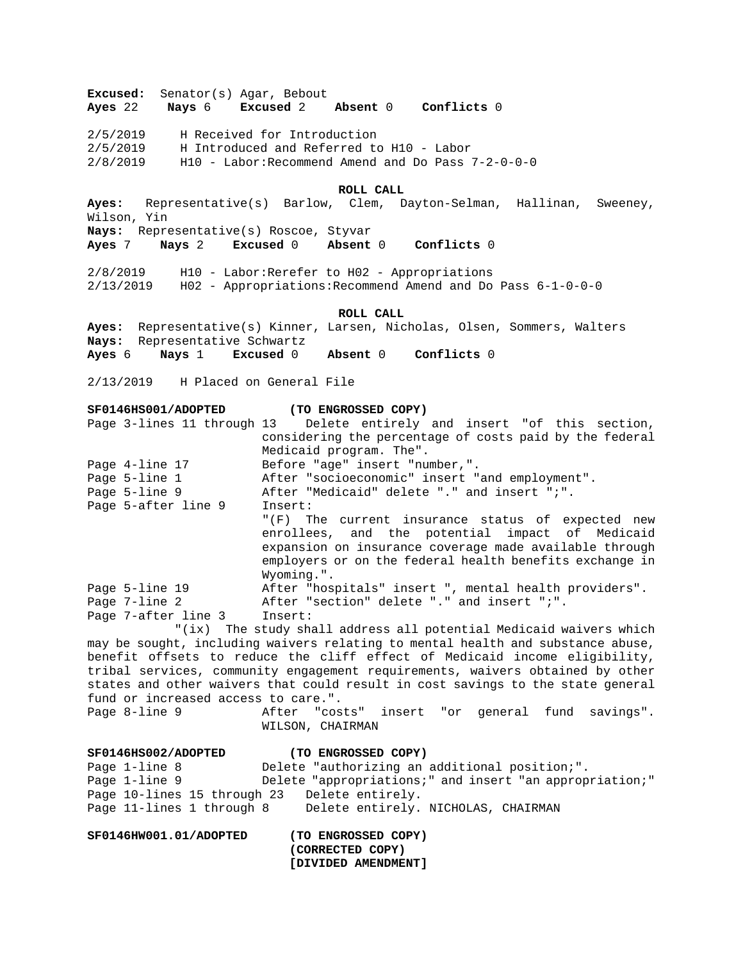**Excused:** Senator(s) Agar, Bebout **Ayes** 22 **Nays** 6 **Excused** 2 **Absent** 0 **Conflicts** 0 2/5/2019 H Received for Introduction 2/5/2019 H Introduced and Referred to H10 - Labor  $2/8/2019$  H10 - Labor: Recommend Amend and Do Pass  $7-2-0-0-0$ **ROLL CALL Ayes:** Representative(s) Barlow, Clem, Dayton-Selman, Hallinan, Sweeney, Wilson, Yin **Nays:** Representative(s) Roscoe, Styvar **Ayes** 7 **Nays** 2 **Excused** 0 **Absent** 0 **Conflicts** 0 2/8/2019 H10 - Labor:Rerefer to H02 - Appropriations 2/13/2019 H02 - Appropriations:Recommend Amend and Do Pass 6-1-0-0-0 **ROLL CALL Ayes:** Representative(s) Kinner, Larsen, Nicholas, Olsen, Sommers, Walters **Nays:** Representative Schwartz **Ayes** 6 **Nays** 1 **Excused** 0 **Absent** 0 **Conflicts** 0 2/13/2019 H Placed on General File **SF0146HS001/ADOPTED (TO ENGROSSED COPY)** Page 3-lines 11 through 13 Delete entirely and insert "of this section, considering the percentage of costs paid by the federal Medicaid program. The". Page 4-line 17 Before "age" insert "number,". Page 5-line 1 After "socioeconomic" insert "and employment". Page 5-line 9 6 After "Medicaid" delete "." and insert ";". Page 5-after line 9 Insert: "(F) The current insurance status of expected new enrollees, and the potential impact of Medicaid expansion on insurance coverage made available through employers or on the federal health benefits exchange in Wyoming.". Page 5-line 19 After "hospitals" insert ", mental health providers". Page 7-line 2 **After "section" delete "." and insert "**;". Page 7-after line 3 Insert: "(ix) The study shall address all potential Medicaid waivers which may be sought, including waivers relating to mental health and substance abuse, benefit offsets to reduce the cliff effect of Medicaid income eligibility, tribal services, community engagement requirements, waivers obtained by other states and other waivers that could result in cost savings to the state general fund or increased access to care.". Page 8-line 9 6 After "costs" insert "or general fund savings". WILSON, CHAIRMAN **SF0146HS002/ADOPTED (TO ENGROSSED COPY)** Page 1-line 8 Delete "authorizing an additional position;". Page 1-line 9 Delete "appropriations;" and insert "an appropriation;" Page 10-lines 15 through 23 Delete entirely. Page 11-lines 1 through 8 Delete entirely. NICHOLAS, CHAIRMAN **SF0146HW001.01/ADOPTED (TO ENGROSSED COPY) (CORRECTED COPY) [DIVIDED AMENDMENT]**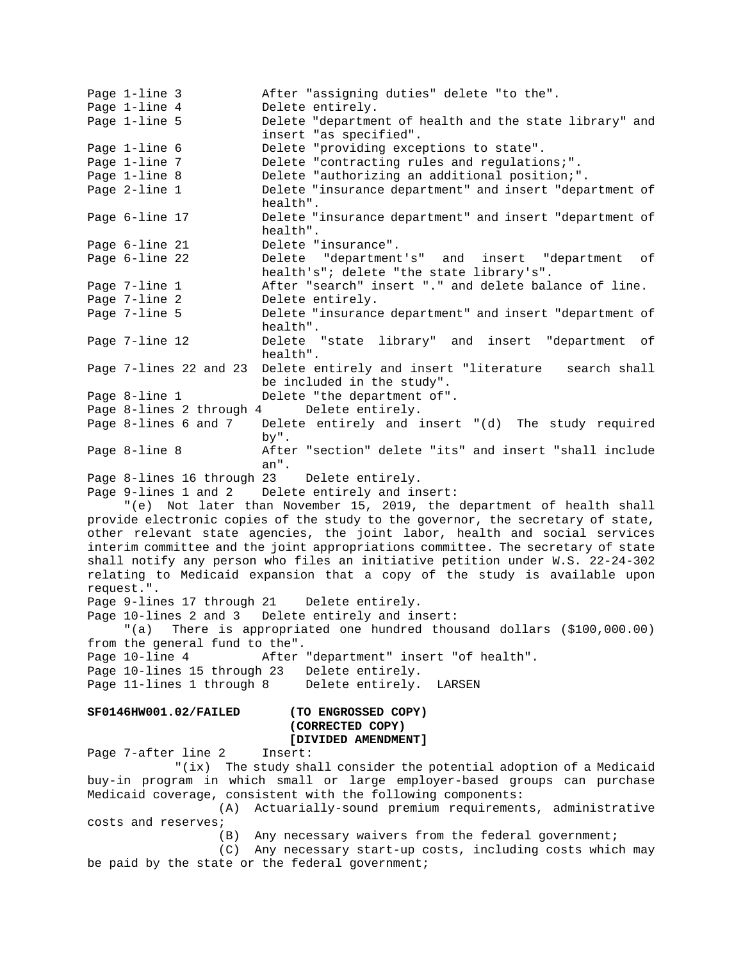Page 1-line 3 After "assigning duties" delete "to the". Page 1-line 4 Delete entirely. Page 1-line 5 Delete "department of health and the state library" and insert "as specified". Page 1-line 6 Delete "providing exceptions to state". Page 1-line 7 **Delete "contracting rules and regulations;".** Page 1-line 8 Delete "authorizing an additional position;". Page 2-line 1 Delete "insurance department" and insert "department of health". Page 6-line 17 Delete "insurance department" and insert "department of health". Page 6-line 21 Delete "insurance". Page 6-line 22 Delete "department's" and insert "department of health's"; delete "the state library's". Page 7-line 1 **After "search"** insert "." and delete balance of line. Page 7-line 2 Delete entirely. Page 7-line 5 Delete "insurance department" and insert "department of health". Page 7-line 12 Delete "state library" and insert "department of health". Page 7-lines 22 and 23 Delete entirely and insert "literature search shall be included in the study". Page 8-line 1 Delete "the department of". Page 8-lines 2 through 4 Delete entirely.<br>Page 8-lines 6 and 7 Delete entirely and i Delete entirely and insert "(d) The study required by". Page 8-line 8 The After "section" delete "its" and insert "shall include an". Page 8-lines 16 through 23 Delete entirely. Page 9-lines 1 and 2 Delete entirely and insert: "(e) Not later than November 15, 2019, the department of health shall provide electronic copies of the study to the governor, the secretary of state, other relevant state agencies, the joint labor, health and social services interim committee and the joint appropriations committee. The secretary of state shall notify any person who files an initiative petition under W.S. 22-24-302 relating to Medicaid expansion that a copy of the study is available upon request.". Page 9-lines 17 through 21 Delete entirely. Page 10-lines 2 and 3 Delete entirely and insert: "(a) There is appropriated one hundred thousand dollars (\$100,000.00) from the general fund to the". Page 10-line 4 After "department" insert "of health". Page 10-lines 15 through 23 Delete entirely. Page 11-lines 1 through 8 Delete entirely. LARSEN **SF0146HW001.02/FAILED (TO ENGROSSED COPY) (CORRECTED COPY) [DIVIDED AMENDMENT]** Page 7-after line 2 Insert: "(ix) The study shall consider the potential adoption of a Medicaid buy-in program in which small or large employer-based groups can purchase Medicaid coverage, consistent with the following components: (A) Actuarially-sound premium requirements, administrative costs and reserves; (B) Any necessary waivers from the federal government; (C) Any necessary start-up costs, including costs which may be paid by the state or the federal government;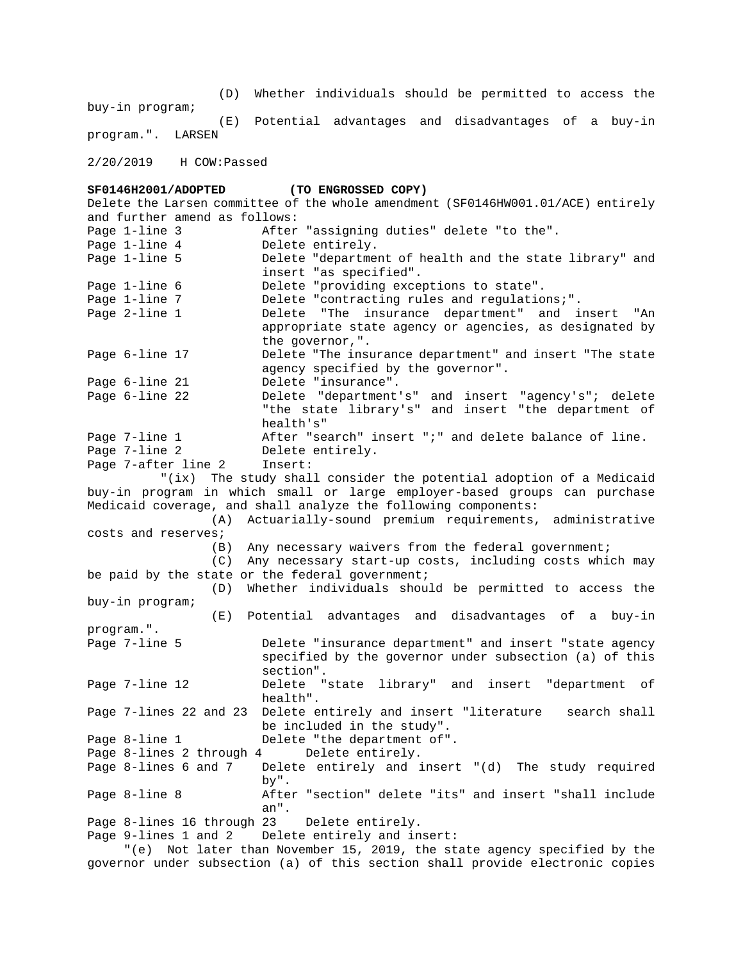(D) Whether individuals should be permitted to access the buy-in program; (E) Potential advantages and disadvantages of a buy-in program.". LARSEN

2/20/2019 H COW:Passed

**SF0146H2001/ADOPTED (TO ENGROSSED COPY)** Delete the Larsen committee of the whole amendment (SF0146HW001.01/ACE) entirely and further amend as follows: Page 1-line 3 After "assigning duties" delete "to the". Page 1-line 4 Delete entirely. Page 1-line 5 Delete "department of health and the state library" and insert "as specified". Page 1-line 6 Delete "providing exceptions to state". Page 1-line 7 Delete "contracting rules and regulations;". Page 2-line 1 Delete "The insurance department" and insert "An appropriate state agency or agencies, as designated by the governor,". Page 6-line 17 Delete "The insurance department" and insert "The state agency specified by the governor". Page 6-line 21 Delete "insurance". Page 6-line 22 Delete "department's" and insert "agency's"; delete "the state library's" and insert "the department of health's" Page 7-line 1 **After "search"** insert ";" and delete balance of line. Page 7-line 2 Delete entirely. Page 7-after line 2 Insert: "(ix) The study shall consider the potential adoption of a Medicaid buy-in program in which small or large employer-based groups can purchase Medicaid coverage, and shall analyze the following components: (A) Actuarially-sound premium requirements, administrative costs and reserves; (B) Any necessary waivers from the federal government; (C) Any necessary start-up costs, including costs which may be paid by the state or the federal government; (D) Whether individuals should be permitted to access the buy-in program; (E) Potential advantages and disadvantages of a buy-in program.". Page 7-line 5 **Delete "insurance department"** and insert "state agency specified by the governor under subsection (a) of this section". Page 7-line 12 Delete "state library" and insert "department of health". Page 7-lines 22 and 23 Delete entirely and insert "literature search shall be included in the study". Page 8-line 1 Delete "the department of". Page 8-lines 2 through 4 Delete entirely. Page 8-lines 6 and 7 Delete entirely and insert "(d) The study required by". Page 8-line 8 After "section" delete "its" and insert "shall include an". Page 8-lines 16 through 23 Delete entirely. Page 9-lines 1 and 2 Delete entirely and insert: "(e) Not later than November 15, 2019, the state agency specified by the governor under subsection (a) of this section shall provide electronic copies